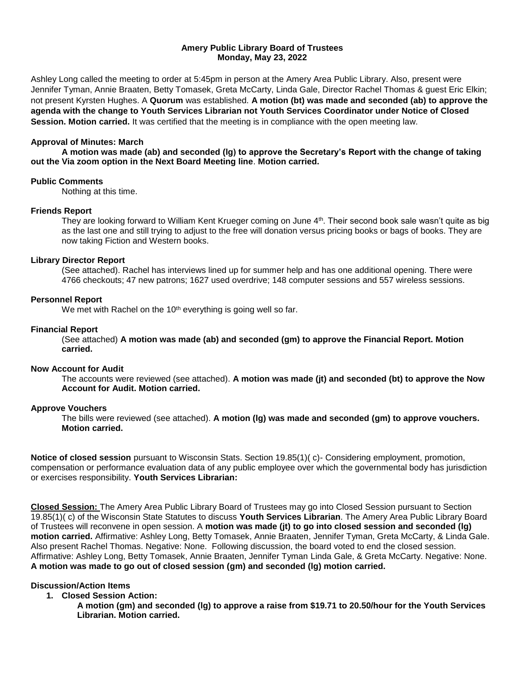### **Amery Public Library Board of Trustees Monday, May 23, 2022**

Ashley Long called the meeting to order at 5:45pm in person at the Amery Area Public Library. Also, present were Jennifer Tyman, Annie Braaten, Betty Tomasek, Greta McCarty, Linda Gale, Director Rachel Thomas & guest Eric Elkin; not present Kyrsten Hughes. A **Quorum** was established. **A motion (bt) was made and seconded (ab) to approve the agenda with the change to Youth Services Librarian not Youth Services Coordinator under Notice of Closed Session. Motion carried.** It was certified that the meeting is in compliance with the open meeting law.

### **Approval of Minutes: March**

**A motion was made (ab) and seconded (lg) to approve the Secretary's Report with the change of taking out the Via zoom option in the Next Board Meeting line**. **Motion carried.**

### **Public Comments**

Nothing at this time.

### **Friends Report**

They are looking forward to William Kent Krueger coming on June 4th. Their second book sale wasn't quite as big as the last one and still trying to adjust to the free will donation versus pricing books or bags of books. They are now taking Fiction and Western books.

### **Library Director Report**

(See attached). Rachel has interviews lined up for summer help and has one additional opening. There were 4766 checkouts; 47 new patrons; 1627 used overdrive; 148 computer sessions and 557 wireless sessions.

### **Personnel Report**

We met with Rachel on the 10<sup>th</sup> everything is going well so far.

### **Financial Report**

(See attached) **A motion was made (ab) and seconded (gm) to approve the Financial Report. Motion carried.** 

### **Now Account for Audit**

The accounts were reviewed (see attached). **A motion was made (jt) and seconded (bt) to approve the Now Account for Audit. Motion carried.** 

#### **Approve Vouchers**

The bills were reviewed (see attached). **A motion (lg) was made and seconded (gm) to approve vouchers. Motion carried.** 

**Notice of closed session** pursuant to Wisconsin Stats. Section 19.85(1)( c)- Considering employment, promotion, compensation or performance evaluation data of any public employee over which the governmental body has jurisdiction or exercises responsibility. **Youth Services Librarian:**

**Closed Session:** The Amery Area Public Library Board of Trustees may go into Closed Session pursuant to Section 19.85(1)( c) of the Wisconsin State Statutes to discuss **Youth Services Librarian**. The Amery Area Public Library Board of Trustees will reconvene in open session. A **motion was made (jt) to go into closed session and seconded (lg) motion carried.** Affirmative: Ashley Long, Betty Tomasek, Annie Braaten, Jennifer Tyman, Greta McCarty, & Linda Gale. Also present Rachel Thomas. Negative: None. Following discussion, the board voted to end the closed session. Affirmative: Ashley Long, Betty Tomasek, Annie Braaten, Jennifer Tyman Linda Gale, & Greta McCarty. Negative: None. **A motion was made to go out of closed session (gm) and seconded (lg) motion carried.** 

## **Discussion/Action Items**

- **1. Closed Session Action:**
	- **A motion (gm) and seconded (lg) to approve a raise from \$19.71 to 20.50/hour for the Youth Services Librarian. Motion carried.**